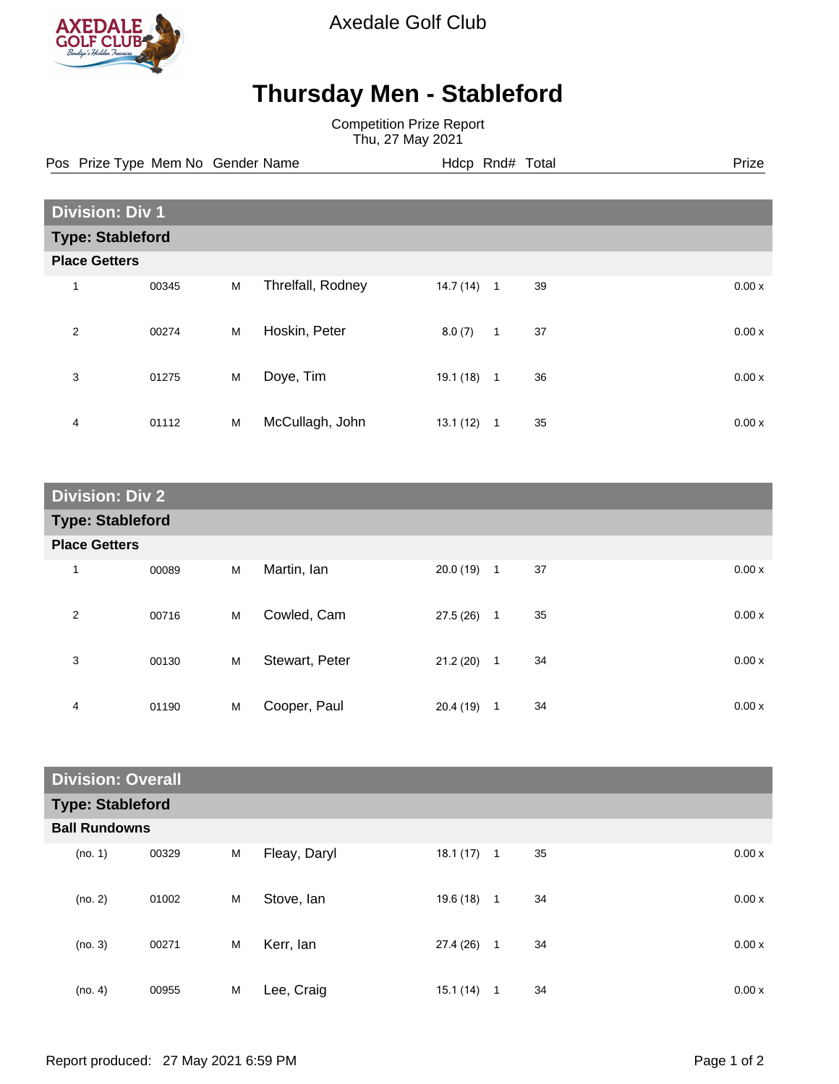

Axedale Golf Club

## **Thursday Men - Stableford**

Competition Prize Report Thu, 27 May 2021

Pos Prize Type Mem No Gender Name **Hdcp Rnd# Total** Prize Prize

|                         | <b>Division: Div 1</b> |   |                   |          |                |    |  |       |
|-------------------------|------------------------|---|-------------------|----------|----------------|----|--|-------|
| <b>Type: Stableford</b> |                        |   |                   |          |                |    |  |       |
| <b>Place Getters</b>    |                        |   |                   |          |                |    |  |       |
| 1                       | 00345                  | M | Threlfall, Rodney | 14.7(14) | $\overline{1}$ | 39 |  | 0.00x |
| $\overline{2}$          | 00274                  | M | Hoskin, Peter     | 8.0(7)   | $\mathbf{1}$   | 37 |  | 0.00x |
| 3                       | 01275                  | M | Doye, Tim         | 19.1(18) | $\overline{1}$ | 36 |  | 0.00x |
| 4                       | 01112                  | M | McCullagh, John   | 13.1(12) | 1              | 35 |  | 0.00x |

| <b>Division: Div 2</b>  |       |   |                |              |              |    |       |
|-------------------------|-------|---|----------------|--------------|--------------|----|-------|
| <b>Type: Stableford</b> |       |   |                |              |              |    |       |
| <b>Place Getters</b>    |       |   |                |              |              |    |       |
| $\mathbf 1$             | 00089 | M | Martin, Ian    | $20.0(19)$ 1 |              | 37 | 0.00x |
| $\overline{2}$          | 00716 | M | Cowled, Cam    | 27.5(26)     | $\mathbf{1}$ | 35 | 0.00x |
| 3                       | 00130 | M | Stewart, Peter | 21.2(20)     | $\mathbf{1}$ | 34 | 0.00x |
| 4                       | 01190 | M | Cooper, Paul   | 20.4(19)     | $\mathbf{1}$ | 34 | 0.00x |

| <b>Division: Overall</b> |       |   |              |           |              |    |       |
|--------------------------|-------|---|--------------|-----------|--------------|----|-------|
| <b>Type: Stableford</b>  |       |   |              |           |              |    |       |
| <b>Ball Rundowns</b>     |       |   |              |           |              |    |       |
| (no. 1)                  | 00329 | M | Fleay, Daryl | 18.1(17)  | $\mathbf{1}$ | 35 | 0.00x |
| (no. 2)                  | 01002 | M | Stove, Ian   | 19.6 (18) | $\mathbf{1}$ | 34 | 0.00x |
| (no. 3)                  | 00271 | M | Kerr, lan    | 27.4 (26) | $\mathbf{1}$ | 34 | 0.00x |
| (no. 4)                  | 00955 | M | Lee, Craig   | 15.1(14)  | $\mathbf{1}$ | 34 | 0.00x |